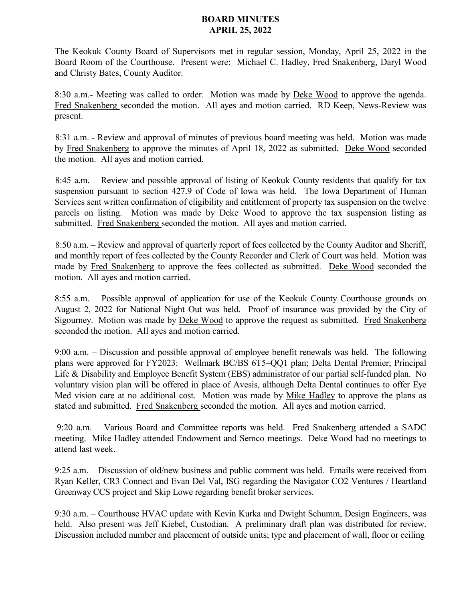## **BOARD MINUTES APRIL 25, 2022**

The Keokuk County Board of Supervisors met in regular session, Monday, April 25, 2022 in the Board Room of the Courthouse. Present were: Michael C. Hadley, Fred Snakenberg, Daryl Wood and Christy Bates, County Auditor.

8:30 a.m.- Meeting was called to order. Motion was made by Deke Wood to approve the agenda. Fred Snakenberg seconded the motion. All ayes and motion carried. RD Keep, News-Review was present.

8:31 a.m. - Review and approval of minutes of previous board meeting was held. Motion was made by Fred Snakenberg to approve the minutes of April 18, 2022 as submitted. Deke Wood seconded the motion. All ayes and motion carried.

8:45 a.m. – Review and possible approval of listing of Keokuk County residents that qualify for tax suspension pursuant to section 427.9 of Code of Iowa was held. The Iowa Department of Human Services sent written confirmation of eligibility and entitlement of property tax suspension on the twelve parcels on listing. Motion was made by Deke Wood to approve the tax suspension listing as submitted. Fred Snakenberg seconded the motion. All ayes and motion carried.

8:50 a.m. – Review and approval of quarterly report of fees collected by the County Auditor and Sheriff, and monthly report of fees collected by the County Recorder and Clerk of Court was held. Motion was made by Fred Snakenberg to approve the fees collected as submitted. Deke Wood seconded the motion. All ayes and motion carried.

8:55 a.m. – Possible approval of application for use of the Keokuk County Courthouse grounds on August 2, 2022 for National Night Out was held. Proof of insurance was provided by the City of Sigourney. Motion was made by Deke Wood to approve the request as submitted. Fred Snakenberg seconded the motion. All ayes and motion carried.

9:00 a.m. – Discussion and possible approval of employee benefit renewals was held. The following plans were approved for FY2023: Wellmark BC/BS 6T5–QQ1 plan; Delta Dental Premier; Principal Life & Disability and Employee Benefit System (EBS) administrator of our partial self-funded plan. No voluntary vision plan will be offered in place of Avesis, although Delta Dental continues to offer Eye Med vision care at no additional cost. Motion was made by Mike Hadley to approve the plans as stated and submitted. Fred Snakenberg seconded the motion. All ayes and motion carried.

9:20 a.m. – Various Board and Committee reports was held. Fred Snakenberg attended a SADC meeting. Mike Hadley attended Endowment and Semco meetings. Deke Wood had no meetings to attend last week.

9:25 a.m. – Discussion of old/new business and public comment was held. Emails were received from Ryan Keller, CR3 Connect and Evan Del Val, ISG regarding the Navigator CO2 Ventures / Heartland Greenway CCS project and Skip Lowe regarding benefit broker services.

9:30 a.m. – Courthouse HVAC update with Kevin Kurka and Dwight Schumm, Design Engineers, was held. Also present was Jeff Kiebel, Custodian. A preliminary draft plan was distributed for review. Discussion included number and placement of outside units; type and placement of wall, floor or ceiling